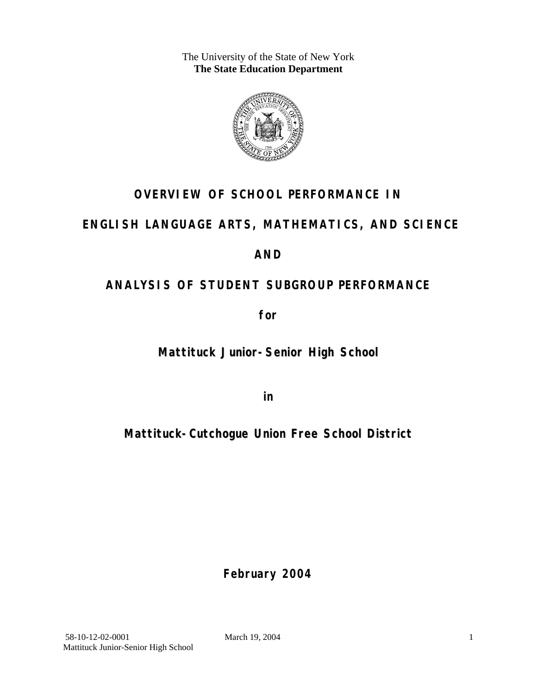The University of the State of New York **The State Education Department** 



# **OVERVIEW OF SCHOOL PERFORMANCE IN**

# **ENGLISH LANGUAGE ARTS, MATHEMATICS, AND SCIENCE**

# **AND**

# **ANALYSIS OF STUDENT SUBGROUP PERFORMANCE**

**for** 

# **Mattituck Junior-Senior High School**

**in** 

# **Mattituck-Cutchogue Union Free School District**

**February 2004**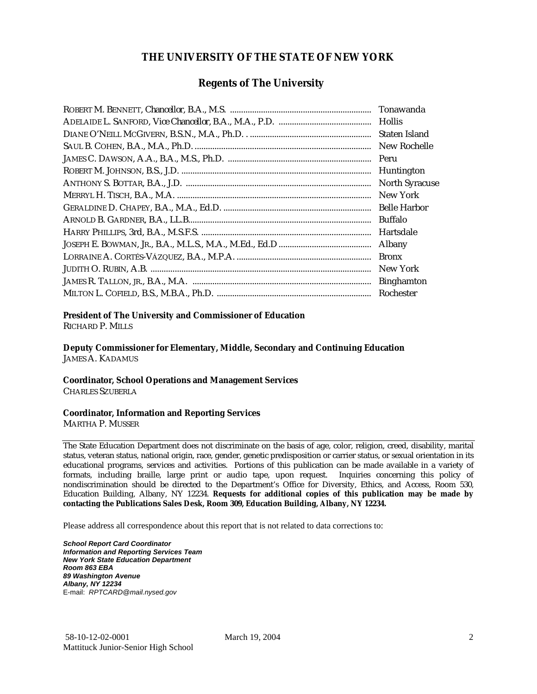#### **THE UNIVERSITY OF THE STATE OF NEW YORK**

#### **Regents of The University**

| Tonawanda             |
|-----------------------|
| <b>Hollis</b>         |
| Staten Island         |
| New Rochelle          |
| Peru                  |
| Huntington            |
| <b>North Syracuse</b> |
| New York              |
| <b>Belle Harbor</b>   |
| Buffalo               |
| Hartsdale             |
| Albany                |
| <b>Bronx</b>          |
| New York              |
| <b>Binghamton</b>     |
| Rochester             |

#### **President of The University and Commissioner of Education**

RICHARD P. MILLS

**Deputy Commissioner for Elementary, Middle, Secondary and Continuing Education**  JAMES A. KADAMUS

#### **Coordinator, School Operations and Management Services**

CHARLES SZUBERLA

#### **Coordinator, Information and Reporting Services**

MARTHA P. MUSSER

The State Education Department does not discriminate on the basis of age, color, religion, creed, disability, marital status, veteran status, national origin, race, gender, genetic predisposition or carrier status, or sexual orientation in its educational programs, services and activities. Portions of this publication can be made available in a variety of formats, including braille, large print or audio tape, upon request. Inquiries concerning this policy of nondiscrimination should be directed to the Department's Office for Diversity, Ethics, and Access, Room 530, Education Building, Albany, NY 12234. **Requests for additional copies of this publication may be made by contacting the Publications Sales Desk, Room 309, Education Building, Albany, NY 12234.** 

Please address all correspondence about this report that is not related to data corrections to:

*School Report Card Coordinator Information and Reporting Services Team New York State Education Department Room 863 EBA 89 Washington Avenue Albany, NY 12234*  E-mail: *RPTCARD@mail.nysed.gov*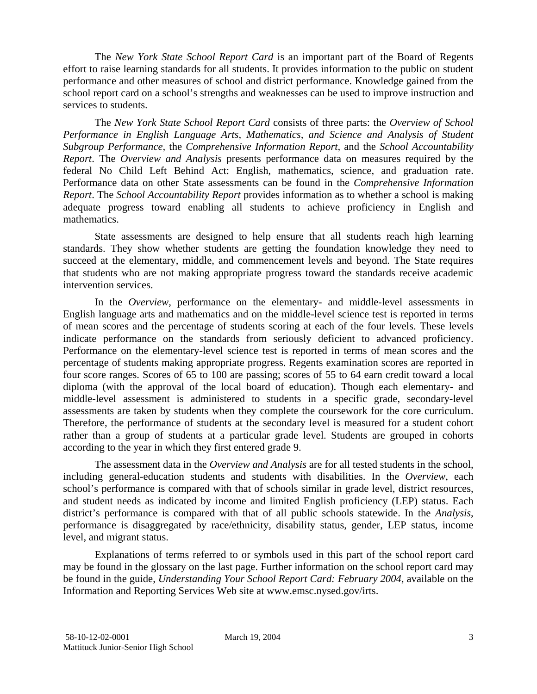The *New York State School Report Card* is an important part of the Board of Regents effort to raise learning standards for all students. It provides information to the public on student performance and other measures of school and district performance. Knowledge gained from the school report card on a school's strengths and weaknesses can be used to improve instruction and services to students.

The *New York State School Report Card* consists of three parts: the *Overview of School Performance in English Language Arts, Mathematics, and Science and Analysis of Student Subgroup Performance,* the *Comprehensive Information Report,* and the *School Accountability Report*. The *Overview and Analysis* presents performance data on measures required by the federal No Child Left Behind Act: English, mathematics, science, and graduation rate. Performance data on other State assessments can be found in the *Comprehensive Information Report*. The *School Accountability Report* provides information as to whether a school is making adequate progress toward enabling all students to achieve proficiency in English and mathematics.

State assessments are designed to help ensure that all students reach high learning standards. They show whether students are getting the foundation knowledge they need to succeed at the elementary, middle, and commencement levels and beyond. The State requires that students who are not making appropriate progress toward the standards receive academic intervention services.

In the *Overview*, performance on the elementary- and middle-level assessments in English language arts and mathematics and on the middle-level science test is reported in terms of mean scores and the percentage of students scoring at each of the four levels. These levels indicate performance on the standards from seriously deficient to advanced proficiency. Performance on the elementary-level science test is reported in terms of mean scores and the percentage of students making appropriate progress. Regents examination scores are reported in four score ranges. Scores of 65 to 100 are passing; scores of 55 to 64 earn credit toward a local diploma (with the approval of the local board of education). Though each elementary- and middle-level assessment is administered to students in a specific grade, secondary-level assessments are taken by students when they complete the coursework for the core curriculum. Therefore, the performance of students at the secondary level is measured for a student cohort rather than a group of students at a particular grade level. Students are grouped in cohorts according to the year in which they first entered grade 9.

The assessment data in the *Overview and Analysis* are for all tested students in the school, including general-education students and students with disabilities. In the *Overview*, each school's performance is compared with that of schools similar in grade level, district resources, and student needs as indicated by income and limited English proficiency (LEP) status. Each district's performance is compared with that of all public schools statewide. In the *Analysis*, performance is disaggregated by race/ethnicity, disability status, gender, LEP status, income level, and migrant status.

Explanations of terms referred to or symbols used in this part of the school report card may be found in the glossary on the last page. Further information on the school report card may be found in the guide, *Understanding Your School Report Card: February 2004*, available on the Information and Reporting Services Web site at www.emsc.nysed.gov/irts.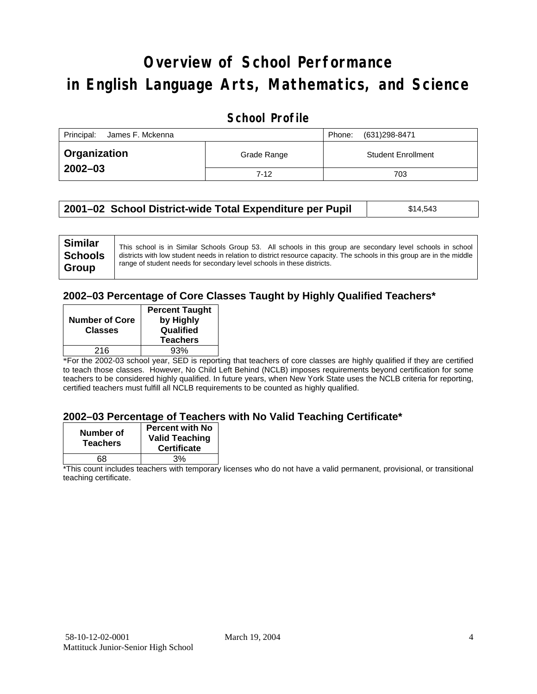# **Overview of School Performance in English Language Arts, Mathematics, and Science**

### **School Profile**

| Principal:<br>James F. Mckenna |             | (631) 298-8471<br>Phone:  |
|--------------------------------|-------------|---------------------------|
| ∣ Organization                 | Grade Range | <b>Student Enrollment</b> |
| $2002 - 03$                    | $7 - 12$    | 703                       |

| 2001–02 School District-wide Total Expenditure per Pupil | \$14,543 |
|----------------------------------------------------------|----------|
|----------------------------------------------------------|----------|

#### **2002–03 Percentage of Core Classes Taught by Highly Qualified Teachers\***

|                       | <b>Percent Taught</b> |
|-----------------------|-----------------------|
| <b>Number of Core</b> | by Highly             |
| <b>Classes</b>        | Qualified             |
|                       | <b>Teachers</b>       |
| 216                   | 93%                   |
|                       |                       |

\*For the 2002-03 school year, SED is reporting that teachers of core classes are highly qualified if they are certified to teach those classes. However, No Child Left Behind (NCLB) imposes requirements beyond certification for some teachers to be considered highly qualified. In future years, when New York State uses the NCLB criteria for reporting, certified teachers must fulfill all NCLB requirements to be counted as highly qualified.

#### **2002–03 Percentage of Teachers with No Valid Teaching Certificate\***

| Number of<br><b>Teachers</b> | <b>Percent with No</b><br><b>Valid Teaching</b><br><b>Certificate</b> |
|------------------------------|-----------------------------------------------------------------------|
| 68                           | 3%                                                                    |

\*This count includes teachers with temporary licenses who do not have a valid permanent, provisional, or transitional teaching certificate.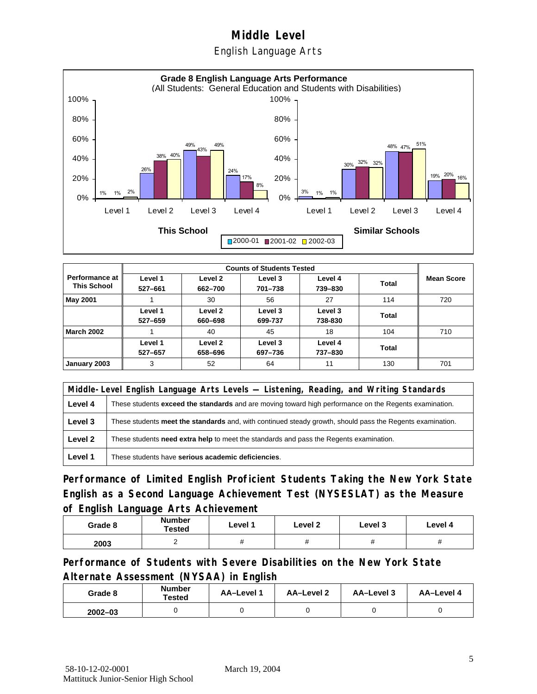### English Language Arts



| Performance at<br><b>This School</b> | Level 1<br>527-661 | Level 2<br>662-700 | Level 3<br>701-738 | Level 4<br>739-830 | <b>Total</b> | <b>Mean Score</b> |
|--------------------------------------|--------------------|--------------------|--------------------|--------------------|--------------|-------------------|
| May 2001                             |                    | 30                 | 56                 | 27                 | 114          | 720               |
|                                      | Level 1<br>527-659 | Level 2<br>660-698 | Level 3<br>699-737 | Level 3<br>738-830 | <b>Total</b> |                   |
| <b>March 2002</b>                    |                    | 40                 | 45                 | 18                 | 104          | 710               |
|                                      | Level 1<br>527-657 | Level 2<br>658-696 | Level 3<br>697-736 | Level 4<br>737-830 | <b>Total</b> |                   |
| January 2003                         | 3                  | 52                 | 64                 | 11                 | 130          | 701               |

|         | Middle-Level English Language Arts Levels — Listening, Reading, and Writing Standards                         |  |  |
|---------|---------------------------------------------------------------------------------------------------------------|--|--|
| Level 4 | These students <b>exceed the standards</b> and are moving toward high performance on the Regents examination. |  |  |
| Level 3 | These students meet the standards and, with continued steady growth, should pass the Regents examination.     |  |  |
| Level 2 | These students need extra help to meet the standards and pass the Regents examination.                        |  |  |
| Level 1 | These students have serious academic deficiencies.                                                            |  |  |

**Performance of Limited English Proficient Students Taking the New York State English as a Second Language Achievement Test (NYSESLAT) as the Measure of English Language Arts Achievement**

| Grade 8 | Number<br>Tested | Level 1 | Level 2  | Level 3  | Level 4  |
|---------|------------------|---------|----------|----------|----------|
| 2003    | <u>_</u>         |         | $^{\pi}$ | $^{\pi}$ | $^{\pi}$ |

**Performance of Students with Severe Disabilities on the New York State Alternate Assessment (NYSAA) in English** 

| Grade 8     | Number<br>Tested | AA-Level 1 | AA-Level 2 | AA-Level 3 | AA-Level 4 |
|-------------|------------------|------------|------------|------------|------------|
| $2002 - 03$ |                  |            |            |            |            |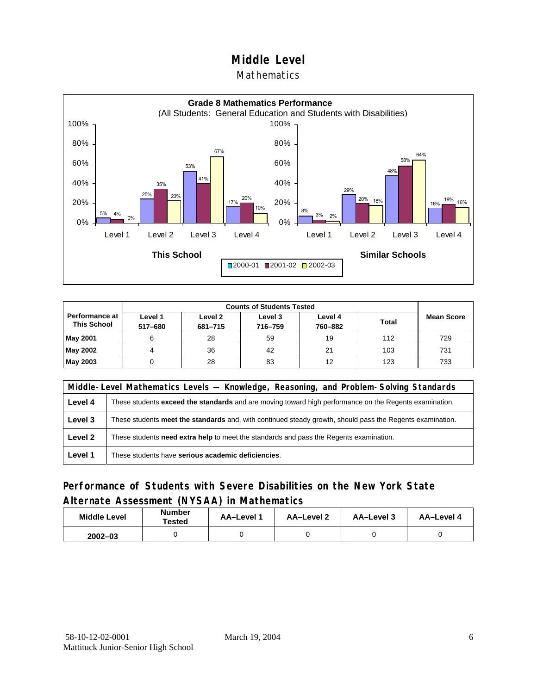#### **Mathematics**



| <b>Counts of Students Tested</b>     |                    |                    |                    |                    |              |                   |
|--------------------------------------|--------------------|--------------------|--------------------|--------------------|--------------|-------------------|
| Performance at<br><b>This School</b> | Level 1<br>517-680 | Level 2<br>681-715 | Level 3<br>716-759 | Level 4<br>760-882 | <b>Total</b> | <b>Mean Score</b> |
| <b>May 2001</b>                      |                    | 28                 | 59                 | 19                 | 112          | 729               |
| May 2002                             |                    | 36                 | 42                 | 21                 | 103          | 731               |
| May 2003                             |                    | 28                 | 83                 | 12                 | 123          | 733               |

|         | Middle-Level Mathematics Levels — Knowledge, Reasoning, and Problem-Solving Standards                         |  |  |
|---------|---------------------------------------------------------------------------------------------------------------|--|--|
| Level 4 | These students <b>exceed the standards</b> and are moving toward high performance on the Regents examination. |  |  |
| Level 3 | These students meet the standards and, with continued steady growth, should pass the Regents examination.     |  |  |
| Level 2 | These students <b>need extra help</b> to meet the standards and pass the Regents examination.                 |  |  |
| Level 1 | These students have serious academic deficiencies.                                                            |  |  |

### **Performance of Students with Severe Disabilities on the New York State Alternate Assessment (NYSAA) in Mathematics**

| <b>Middle Level</b> | <b>Number</b><br>Tested | <b>AA–Level</b> 1 | AA-Level 2 | AA-Level 3 | AA-Level 4 |  |
|---------------------|-------------------------|-------------------|------------|------------|------------|--|
| $2002 - 03$         |                         |                   |            |            |            |  |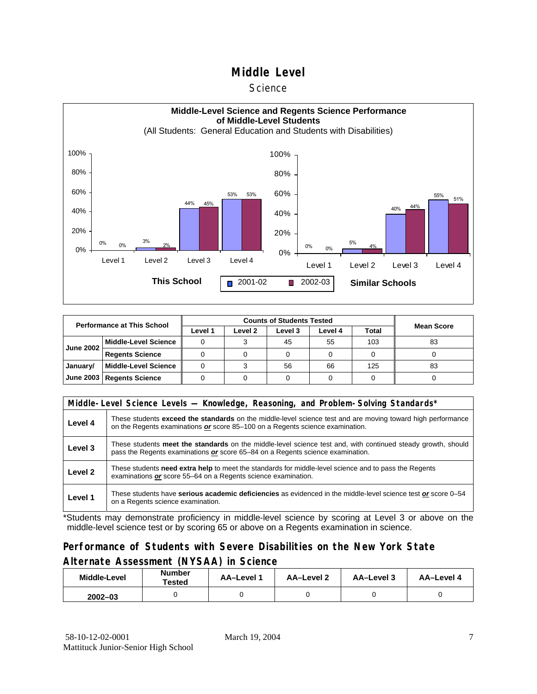#### **Science**



| <b>Performance at This School</b> |                             |         | <b>Counts of Students Tested</b> | <b>Mean Score</b> |         |       |    |
|-----------------------------------|-----------------------------|---------|----------------------------------|-------------------|---------|-------|----|
|                                   |                             | Level 1 | Level 2                          | Level 3           | Level 4 | Total |    |
| <b>June 2002</b>                  | l Middle-Level Science      |         |                                  | 45                | 55      | 103   | 83 |
|                                   | <b>Regents Science</b>      |         |                                  |                   |         |       |    |
| January/                          | Middle-Level Science        |         |                                  | 56                | 66      | 125   | 83 |
|                                   | June 2003   Regents Science |         |                                  |                   |         |       |    |

|         | Middle-Level Science Levels — Knowledge, Reasoning, and Problem-Solving Standards*                                                                                                                  |  |  |  |  |  |  |  |
|---------|-----------------------------------------------------------------------------------------------------------------------------------------------------------------------------------------------------|--|--|--|--|--|--|--|
| Level 4 | These students <b>exceed the standards</b> on the middle-level science test and are moving toward high performance<br>on the Regents examinations or score 85-100 on a Regents science examination. |  |  |  |  |  |  |  |
| Level 3 | These students meet the standards on the middle-level science test and, with continued steady growth, should<br>pass the Regents examinations or score 65–84 on a Regents science examination.      |  |  |  |  |  |  |  |
| Level 2 | These students <b>need extra help</b> to meet the standards for middle-level science and to pass the Regents<br>examinations or score 55-64 on a Regents science examination.                       |  |  |  |  |  |  |  |
| Level 1 | These students have serious academic deficiencies as evidenced in the middle-level science test or score 0–54<br>on a Regents science examination.                                                  |  |  |  |  |  |  |  |

\*Students may demonstrate proficiency in middle-level science by scoring at Level 3 or above on the middle-level science test or by scoring 65 or above on a Regents examination in science.

#### **Performance of Students with Severe Disabilities on the New York State Alternate Assessment (NYSAA) in Science**

| Middle-Level | <b>Number</b><br>Tested | AA–Level 1 | AA-Level 2 | AA-Level 3 | AA-Level 4 |  |
|--------------|-------------------------|------------|------------|------------|------------|--|
| $2002 - 03$  |                         |            |            |            |            |  |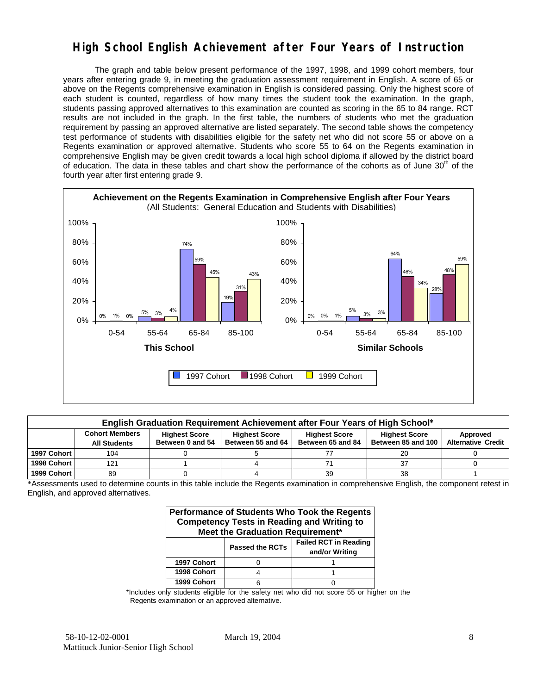## **High School English Achievement after Four Years of Instruction**

The graph and table below present performance of the 1997, 1998, and 1999 cohort members, four years after entering grade 9, in meeting the graduation assessment requirement in English. A score of 65 or above on the Regents comprehensive examination in English is considered passing. Only the highest score of each student is counted, regardless of how many times the student took the examination. In the graph, students passing approved alternatives to this examination are counted as scoring in the 65 to 84 range. RCT results are not included in the graph. In the first table, the numbers of students who met the graduation requirement by passing an approved alternative are listed separately. The second table shows the competency test performance of students with disabilities eligible for the safety net who did not score 55 or above on a Regents examination or approved alternative. Students who score 55 to 64 on the Regents examination in comprehensive English may be given credit towards a local high school diploma if allowed by the district board of education. The data in these tables and chart show the performance of the cohorts as of June  $30<sup>th</sup>$  of the fourth year after first entering grade 9.



|             | English Graduation Requirement Achievement after Four Years of High School*                                                                                                                                                                                               |  |  |    |    |  |  |  |  |  |  |  |  |
|-------------|---------------------------------------------------------------------------------------------------------------------------------------------------------------------------------------------------------------------------------------------------------------------------|--|--|----|----|--|--|--|--|--|--|--|--|
|             | <b>Cohort Members</b><br><b>Highest Score</b><br><b>Highest Score</b><br><b>Highest Score</b><br><b>Highest Score</b><br>Approved<br>Between 55 and 64<br><b>Alternative Credit</b><br>Between 65 and 84<br>Between 85 and 100<br>Between 0 and 54<br><b>All Students</b> |  |  |    |    |  |  |  |  |  |  |  |  |
| 1997 Cohort | 104                                                                                                                                                                                                                                                                       |  |  |    | 20 |  |  |  |  |  |  |  |  |
| 1998 Cohort | 121                                                                                                                                                                                                                                                                       |  |  |    | 37 |  |  |  |  |  |  |  |  |
| 1999 Cohort | 89                                                                                                                                                                                                                                                                        |  |  | 39 | 38 |  |  |  |  |  |  |  |  |

\*Assessments used to determine counts in this table include the Regents examination in comprehensive English, the component retest in English, and approved alternatives.

| Performance of Students Who Took the Regents<br><b>Competency Tests in Reading and Writing to</b><br>Meet the Graduation Requirement* |  |  |  |  |  |  |  |  |
|---------------------------------------------------------------------------------------------------------------------------------------|--|--|--|--|--|--|--|--|
| <b>Failed RCT in Reading</b><br><b>Passed the RCTs</b><br>and/or Writing                                                              |  |  |  |  |  |  |  |  |
| 1997 Cohort                                                                                                                           |  |  |  |  |  |  |  |  |
| 1998 Cohort                                                                                                                           |  |  |  |  |  |  |  |  |
| 1999 Cohort                                                                                                                           |  |  |  |  |  |  |  |  |

\*Includes only students eligible for the safety net who did not score 55 or higher on the Regents examination or an approved alternative.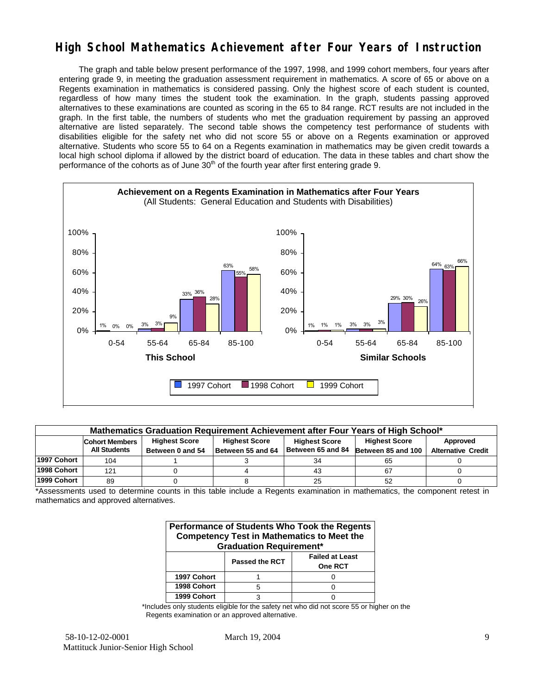## **High School Mathematics Achievement after Four Years of Instruction**

The graph and table below present performance of the 1997, 1998, and 1999 cohort members, four years after entering grade 9, in meeting the graduation assessment requirement in mathematics. A score of 65 or above on a Regents examination in mathematics is considered passing. Only the highest score of each student is counted, regardless of how many times the student took the examination. In the graph, students passing approved alternatives to these examinations are counted as scoring in the 65 to 84 range. RCT results are not included in the graph. In the first table, the numbers of students who met the graduation requirement by passing an approved alternative are listed separately. The second table shows the competency test performance of students with disabilities eligible for the safety net who did not score 55 or above on a Regents examination or approved alternative. Students who score 55 to 64 on a Regents examination in mathematics may be given credit towards a local high school diploma if allowed by the district board of education. The data in these tables and chart show the performance of the cohorts as of June  $30<sup>th</sup>$  of the fourth year after first entering grade 9.



| Mathematics Graduation Requirement Achievement after Four Years of High School* |                                                                                                                                   |                  |                   |                   |                    |                           |  |  |  |  |  |
|---------------------------------------------------------------------------------|-----------------------------------------------------------------------------------------------------------------------------------|------------------|-------------------|-------------------|--------------------|---------------------------|--|--|--|--|--|
|                                                                                 | <b>Highest Score</b><br><b>Highest Score</b><br><b>Highest Score</b><br>Approved<br><b>Cohort Members</b><br><b>Highest Score</b> |                  |                   |                   |                    |                           |  |  |  |  |  |
|                                                                                 | <b>All Students</b>                                                                                                               | Between 0 and 54 | Between 55 and 64 | Between 65 and 84 | Between 85 and 100 | <b>Alternative Credit</b> |  |  |  |  |  |
| 1997 Cohort                                                                     | 104                                                                                                                               |                  |                   | 34                | 65                 |                           |  |  |  |  |  |
| 1998 Cohort                                                                     | 121                                                                                                                               |                  |                   | 43                |                    |                           |  |  |  |  |  |
| 1999 Cohort                                                                     | 89                                                                                                                                |                  |                   | 25                | 52                 |                           |  |  |  |  |  |

\*Assessments used to determine counts in this table include a Regents examination in mathematics, the component retest in mathematics and approved alternatives.

| Performance of Students Who Took the Regents<br><b>Competency Test in Mathematics to Meet the</b><br><b>Graduation Requirement*</b> |  |  |  |  |  |  |  |  |
|-------------------------------------------------------------------------------------------------------------------------------------|--|--|--|--|--|--|--|--|
| <b>Failed at Least</b><br><b>Passed the RCT</b><br>One RCT                                                                          |  |  |  |  |  |  |  |  |
| 1997 Cohort                                                                                                                         |  |  |  |  |  |  |  |  |
| 1998 Cohort                                                                                                                         |  |  |  |  |  |  |  |  |
| 1999 Cohort                                                                                                                         |  |  |  |  |  |  |  |  |

\*Includes only students eligible for the safety net who did not score 55 or higher on the Regents examination or an approved alternative.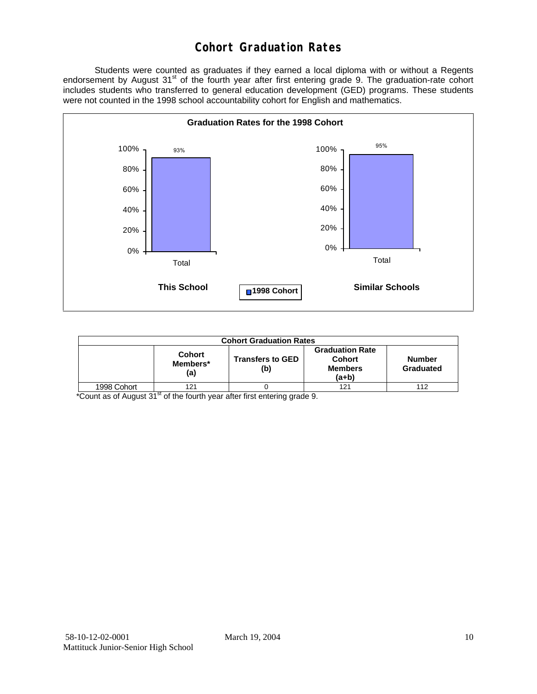## **Cohort Graduation Rates**

 Students were counted as graduates if they earned a local diploma with or without a Regents endorsement by August 31<sup>st</sup> of the fourth year after first entering grade 9. The graduation-rate cohort includes students who transferred to general education development (GED) programs. These students were not counted in the 1998 school accountability cohort for English and mathematics.



| <b>Cohort Graduation Rates</b> |                                  |                                |                                                                    |                            |  |  |  |  |  |
|--------------------------------|----------------------------------|--------------------------------|--------------------------------------------------------------------|----------------------------|--|--|--|--|--|
|                                | <b>Cohort</b><br>Members*<br>(a) | <b>Transfers to GED</b><br>(b) | <b>Graduation Rate</b><br><b>Cohort</b><br><b>Members</b><br>(a+b) | <b>Number</b><br>Graduated |  |  |  |  |  |
| 1998 Cohort                    | 121                              |                                | 121                                                                | 112                        |  |  |  |  |  |

\*Count as of August 31<sup>st</sup> of the fourth year after first entering grade 9.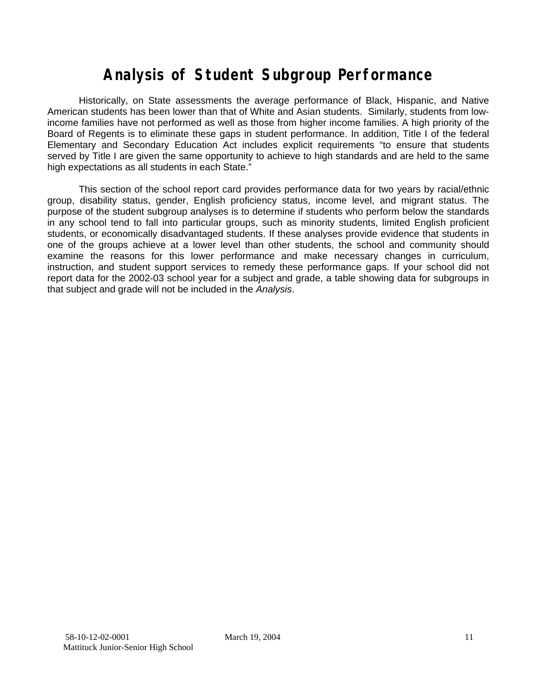# **Analysis of Student Subgroup Performance**

Historically, on State assessments the average performance of Black, Hispanic, and Native American students has been lower than that of White and Asian students. Similarly, students from lowincome families have not performed as well as those from higher income families. A high priority of the Board of Regents is to eliminate these gaps in student performance. In addition, Title I of the federal Elementary and Secondary Education Act includes explicit requirements "to ensure that students served by Title I are given the same opportunity to achieve to high standards and are held to the same high expectations as all students in each State."

This section of the school report card provides performance data for two years by racial/ethnic group, disability status, gender, English proficiency status, income level, and migrant status. The purpose of the student subgroup analyses is to determine if students who perform below the standards in any school tend to fall into particular groups, such as minority students, limited English proficient students, or economically disadvantaged students. If these analyses provide evidence that students in one of the groups achieve at a lower level than other students, the school and community should examine the reasons for this lower performance and make necessary changes in curriculum, instruction, and student support services to remedy these performance gaps. If your school did not report data for the 2002-03 school year for a subject and grade, a table showing data for subgroups in that subject and grade will not be included in the *Analysis*.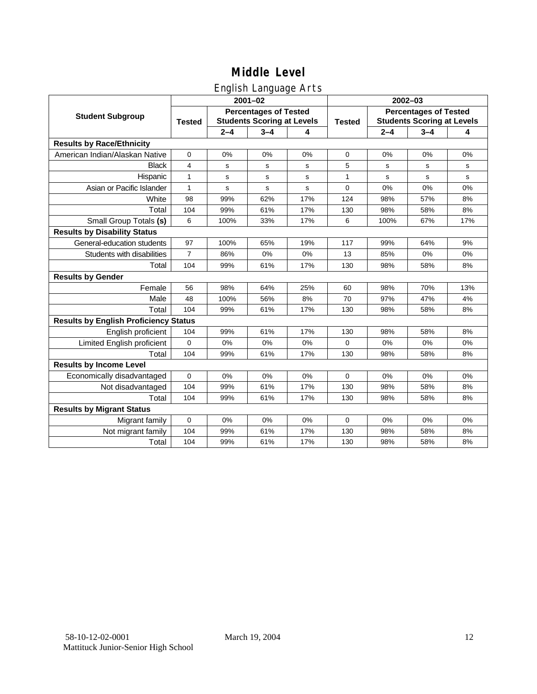### English Language Arts

|                                              | ັ<br>$2001 - 02$                                                                   |         |             |               | 2002-03                                                           |         |         |     |
|----------------------------------------------|------------------------------------------------------------------------------------|---------|-------------|---------------|-------------------------------------------------------------------|---------|---------|-----|
| <b>Student Subgroup</b>                      | <b>Percentages of Tested</b><br><b>Students Scoring at Levels</b><br><b>Tested</b> |         |             | <b>Tested</b> | <b>Percentages of Tested</b><br><b>Students Scoring at Levels</b> |         |         |     |
|                                              |                                                                                    | $2 - 4$ | $3 - 4$     | 4             |                                                                   | $2 - 4$ | $3 - 4$ | 4   |
| <b>Results by Race/Ethnicity</b>             |                                                                                    |         |             |               |                                                                   |         |         |     |
| American Indian/Alaskan Native               | $\mathbf 0$                                                                        | 0%      | 0%          | 0%            | 0                                                                 | 0%      | 0%      | 0%  |
| <b>Black</b>                                 | $\overline{4}$                                                                     | s       | s           | s             | 5                                                                 | s       | s       | s   |
| Hispanic                                     | 1                                                                                  | s       | s           | s             | 1                                                                 | s       | s       | s   |
| Asian or Pacific Islander                    | $\mathbf{1}$                                                                       | s       | $\mathbf s$ | s             | $\mathbf 0$                                                       | 0%      | 0%      | 0%  |
| White                                        | 98                                                                                 | 99%     | 62%         | 17%           | 124                                                               | 98%     | 57%     | 8%  |
| Total                                        | 104                                                                                | 99%     | 61%         | 17%           | 130                                                               | 98%     | 58%     | 8%  |
| Small Group Totals (s)                       | 6                                                                                  | 100%    | 33%         | 17%           | 6                                                                 | 100%    | 67%     | 17% |
| <b>Results by Disability Status</b>          |                                                                                    |         |             |               |                                                                   |         |         |     |
| General-education students                   | 97                                                                                 | 100%    | 65%         | 19%           | 117                                                               | 99%     | 64%     | 9%  |
| Students with disabilities                   | $\overline{7}$                                                                     | 86%     | 0%          | 0%            | 13                                                                | 85%     | 0%      | 0%  |
| Total                                        | 104                                                                                | 99%     | 61%         | 17%           | 130                                                               | 98%     | 58%     | 8%  |
| <b>Results by Gender</b>                     |                                                                                    |         |             |               |                                                                   |         |         |     |
| Female                                       | 56                                                                                 | 98%     | 64%         | 25%           | 60                                                                | 98%     | 70%     | 13% |
| Male                                         | 48                                                                                 | 100%    | 56%         | 8%            | 70                                                                | 97%     | 47%     | 4%  |
| Total                                        | 104                                                                                | 99%     | 61%         | 17%           | 130                                                               | 98%     | 58%     | 8%  |
| <b>Results by English Proficiency Status</b> |                                                                                    |         |             |               |                                                                   |         |         |     |
| English proficient                           | 104                                                                                | 99%     | 61%         | 17%           | 130                                                               | 98%     | 58%     | 8%  |
| Limited English proficient                   | $\mathbf 0$                                                                        | 0%      | 0%          | 0%            | 0                                                                 | 0%      | 0%      | 0%  |
| Total                                        | 104                                                                                | 99%     | 61%         | 17%           | 130                                                               | 98%     | 58%     | 8%  |
| <b>Results by Income Level</b>               |                                                                                    |         |             |               |                                                                   |         |         |     |
| Economically disadvantaged                   | $\mathbf 0$                                                                        | 0%      | 0%          | 0%            | $\mathbf 0$                                                       | 0%      | 0%      | 0%  |
| Not disadvantaged                            | 104                                                                                | 99%     | 61%         | 17%           | 130                                                               | 98%     | 58%     | 8%  |
| Total                                        | 104                                                                                | 99%     | 61%         | 17%           | 130                                                               | 98%     | 58%     | 8%  |
| <b>Results by Migrant Status</b>             |                                                                                    |         |             |               |                                                                   |         |         |     |
| Migrant family                               | $\mathbf 0$                                                                        | 0%      | 0%          | 0%            | 0                                                                 | 0%      | 0%      | 0%  |
| Not migrant family                           | 104                                                                                | 99%     | 61%         | 17%           | 130                                                               | 98%     | 58%     | 8%  |
| Total                                        | 104                                                                                | 99%     | 61%         | 17%           | 130                                                               | 98%     | 58%     | 8%  |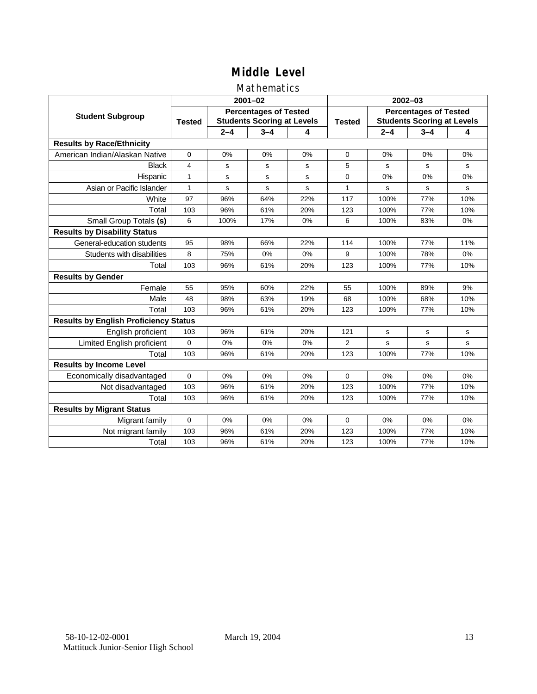### Mathematics

|                                              | $2001 - 02$    |                                                                   |             |     | $2002 - 03$    |                                                                   |         |              |
|----------------------------------------------|----------------|-------------------------------------------------------------------|-------------|-----|----------------|-------------------------------------------------------------------|---------|--------------|
| <b>Student Subgroup</b>                      | <b>Tested</b>  | <b>Percentages of Tested</b><br><b>Students Scoring at Levels</b> |             |     | <b>Tested</b>  | <b>Percentages of Tested</b><br><b>Students Scoring at Levels</b> |         |              |
|                                              |                | $2 - 4$                                                           | $3 - 4$     | 4   |                | $2 - 4$                                                           | $3 - 4$ | 4            |
| <b>Results by Race/Ethnicity</b>             |                |                                                                   |             |     |                |                                                                   |         |              |
| American Indian/Alaskan Native               | $\Omega$       | 0%                                                                | 0%          | 0%  | $\Omega$       | 0%                                                                | 0%      | 0%           |
| <b>Black</b>                                 | $\overline{4}$ | s                                                                 | s           | s   | 5              | s                                                                 | s       | s            |
| Hispanic                                     | 1              | s                                                                 | $\mathbf s$ | s   | 0              | 0%                                                                | 0%      | 0%           |
| Asian or Pacific Islander                    | 1              | s                                                                 | s           | s   | 1              | s                                                                 | s       | s            |
| White                                        | 97             | 96%                                                               | 64%         | 22% | 117            | 100%                                                              | 77%     | 10%          |
| Total                                        | 103            | 96%                                                               | 61%         | 20% | 123            | 100%                                                              | 77%     | 10%          |
| Small Group Totals (s)                       | 6              | 100%                                                              | 17%         | 0%  | 6              | 100%                                                              | 83%     | 0%           |
| <b>Results by Disability Status</b>          |                |                                                                   |             |     |                |                                                                   |         |              |
| General-education students                   | 95             | 98%                                                               | 66%         | 22% | 114            | 100%                                                              | 77%     | 11%          |
| Students with disabilities                   | 8              | 75%                                                               | 0%          | 0%  | 9              | 100%                                                              | 78%     | 0%           |
| Total                                        | 103            | 96%                                                               | 61%         | 20% | 123            | 100%                                                              | 77%     | 10%          |
| <b>Results by Gender</b>                     |                |                                                                   |             |     |                |                                                                   |         |              |
| Female                                       | 55             | 95%                                                               | 60%         | 22% | 55             | 100%                                                              | 89%     | 9%           |
| Male                                         | 48             | 98%                                                               | 63%         | 19% | 68             | 100%                                                              | 68%     | 10%          |
| Total                                        | 103            | 96%                                                               | 61%         | 20% | 123            | 100%                                                              | 77%     | 10%          |
| <b>Results by English Proficiency Status</b> |                |                                                                   |             |     |                |                                                                   |         |              |
| English proficient                           | 103            | 96%                                                               | 61%         | 20% | 121            | s                                                                 | s       | s            |
| Limited English proficient                   | $\Omega$       | 0%                                                                | 0%          | 0%  | $\overline{2}$ | s                                                                 | s       | $\mathbf{s}$ |
| Total                                        | 103            | 96%                                                               | 61%         | 20% | 123            | 100%                                                              | 77%     | 10%          |
| <b>Results by Income Level</b>               |                |                                                                   |             |     |                |                                                                   |         |              |
| Economically disadvantaged                   | 0              | 0%                                                                | 0%          | 0%  | $\mathbf 0$    | 0%                                                                | 0%      | 0%           |
| Not disadvantaged                            | 103            | 96%                                                               | 61%         | 20% | 123            | 100%                                                              | 77%     | 10%          |
| Total                                        | 103            | 96%                                                               | 61%         | 20% | 123            | 100%                                                              | 77%     | 10%          |
| <b>Results by Migrant Status</b>             |                |                                                                   |             |     |                |                                                                   |         |              |
| Migrant family                               | 0              | 0%                                                                | 0%          | 0%  | $\Omega$       | 0%                                                                | 0%      | 0%           |
| Not migrant family                           | 103            | 96%                                                               | 61%         | 20% | 123            | 100%                                                              | 77%     | 10%          |
| Total                                        | 103            | 96%                                                               | 61%         | 20% | 123            | 100%                                                              | 77%     | 10%          |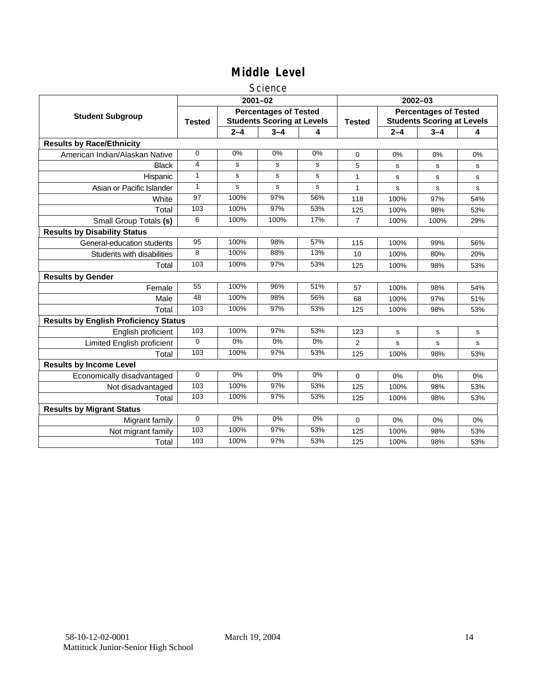#### **Science**

|                                              | $2001 - 02$   |         |                                                                   |             | $2002 - 03$    |                                                                   |         |     |
|----------------------------------------------|---------------|---------|-------------------------------------------------------------------|-------------|----------------|-------------------------------------------------------------------|---------|-----|
| <b>Student Subgroup</b>                      | <b>Tested</b> |         | <b>Percentages of Tested</b><br><b>Students Scoring at Levels</b> |             | <b>Tested</b>  | <b>Percentages of Tested</b><br><b>Students Scoring at Levels</b> |         |     |
|                                              |               | $2 - 4$ | $3 - 4$                                                           | 4           |                | $2 - 4$                                                           | $3 - 4$ | 4   |
| <b>Results by Race/Ethnicity</b>             |               |         |                                                                   |             |                |                                                                   |         |     |
| American Indian/Alaskan Native               | 0             | 0%      | 0%                                                                | 0%          | $\Omega$       | 0%                                                                | 0%      | 0%  |
| <b>Black</b>                                 | 4             | s       | s                                                                 | s           | 5              | s                                                                 | s       | s   |
| Hispanic                                     | 1             | s       | s                                                                 | s           | 1              | s                                                                 | s       | s   |
| Asian or Pacific Islander                    | 1             | s       | s                                                                 | $\mathbf s$ | 1              | s                                                                 | s       | s   |
| White                                        | 97            | 100%    | 97%                                                               | 56%         | 118            | 100%                                                              | 97%     | 54% |
| Total                                        | 103           | 100%    | 97%                                                               | 53%         | 125            | 100%                                                              | 98%     | 53% |
| Small Group Totals (s)                       | 6             | 100%    | 100%                                                              | 17%         | 7              | 100%                                                              | 100%    | 29% |
| <b>Results by Disability Status</b>          |               |         |                                                                   |             |                |                                                                   |         |     |
| General-education students                   | 95            | 100%    | 98%                                                               | 57%         | 115            | 100%                                                              | 99%     | 56% |
| Students with disabilities                   | 8             | 100%    | 88%                                                               | 13%         | 10             | 100%                                                              | 80%     | 20% |
| Total                                        | 103           | 100%    | 97%                                                               | 53%         | 125            | 100%                                                              | 98%     | 53% |
| <b>Results by Gender</b>                     |               |         |                                                                   |             |                |                                                                   |         |     |
| Female                                       | 55            | 100%    | 96%                                                               | 51%         | 57             | 100%                                                              | 98%     | 54% |
| Male                                         | 48            | 100%    | 98%                                                               | 56%         | 68             | 100%                                                              | 97%     | 51% |
| Total                                        | 103           | 100%    | 97%                                                               | 53%         | 125            | 100%                                                              | 98%     | 53% |
| <b>Results by English Proficiency Status</b> |               |         |                                                                   |             |                |                                                                   |         |     |
| English proficient                           | 103           | 100%    | 97%                                                               | 53%         | 123            | s                                                                 | s       | s   |
| <b>Limited English proficient</b>            | $\Omega$      | $0\%$   | 0%                                                                | $0\%$       | $\overline{2}$ | s                                                                 | s       | s   |
| Total                                        | 103           | 100%    | 97%                                                               | 53%         | 125            | 100%                                                              | 98%     | 53% |
| <b>Results by Income Level</b>               |               |         |                                                                   |             |                |                                                                   |         |     |
| Economically disadvantaged                   | 0             | 0%      | 0%                                                                | 0%          | 0              | 0%                                                                | 0%      | 0%  |
| Not disadvantaged                            | 103           | 100%    | 97%                                                               | 53%         | 125            | 100%                                                              | 98%     | 53% |
| Total                                        | 103           | 100%    | 97%                                                               | 53%         | 125            | 100%                                                              | 98%     | 53% |
| <b>Results by Migrant Status</b>             |               |         |                                                                   |             |                |                                                                   |         |     |
| Migrant family                               | 0             | 0%      | 0%                                                                | 0%          | 0              | 0%                                                                | 0%      | 0%  |
| Not migrant family                           | 103           | 100%    | 97%                                                               | 53%         | 125            | 100%                                                              | 98%     | 53% |
| Total                                        | 103           | 100%    | 97%                                                               | 53%         | 125            | 100%                                                              | 98%     | 53% |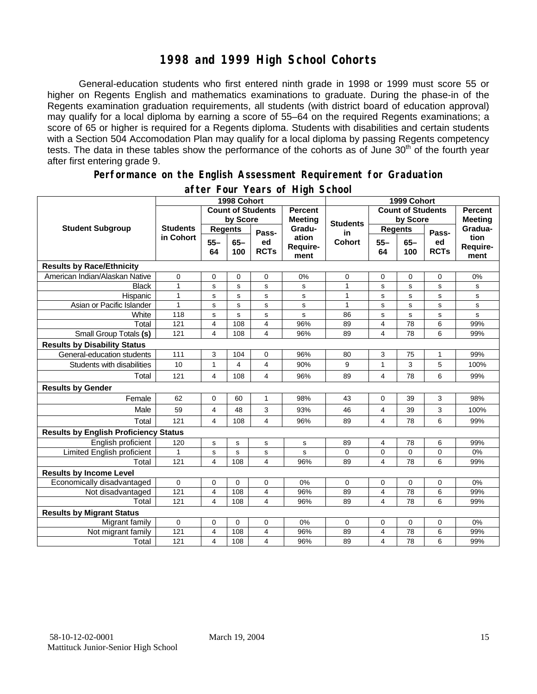### **1998 and 1999 High School Cohorts**

General-education students who first entered ninth grade in 1998 or 1999 must score 55 or higher on Regents English and mathematics examinations to graduate. During the phase-in of the Regents examination graduation requirements, all students (with district board of education approval) may qualify for a local diploma by earning a score of 55–64 on the required Regents examinations; a score of 65 or higher is required for a Regents diploma. Students with disabilities and certain students with a Section 504 Accomodation Plan may qualify for a local diploma by passing Regents competency tests. The data in these tables show the performance of the cohorts as of June 30<sup>th</sup> of the fourth year after first entering grade 9.

#### **Performance on the English Assessment Requirement for Graduation**

|                                              | 1998 Cohort                  |                |                          |                   |                           | 1999 Cohort              |                         |               |                   |                          |
|----------------------------------------------|------------------------------|----------------|--------------------------|-------------------|---------------------------|--------------------------|-------------------------|---------------|-------------------|--------------------------|
| <b>Student Subgroup</b>                      |                              |                | <b>Count of Students</b> |                   | <b>Percent</b>            | <b>Count of Students</b> |                         |               |                   | <b>Percent</b>           |
|                                              | <b>Students</b><br>in Cohort | by Score       |                          |                   | Meeting                   | <b>Students</b>          | by Score                |               |                   | <b>Meeting</b>           |
|                                              |                              | <b>Regents</b> |                          | Pass-             | Gradu-                    | in                       | <b>Regents</b>          |               | Pass-             | Gradua-                  |
|                                              |                              | $55 -$<br>64   | $65-$<br>100             | ed<br><b>RCTs</b> | ation<br>Require-<br>ment | <b>Cohort</b>            | $55 -$<br>64            | $65 -$<br>100 | ed<br><b>RCTs</b> | tion<br>Require-<br>ment |
| <b>Results by Race/Ethnicity</b>             |                              |                |                          |                   |                           |                          |                         |               |                   |                          |
| American Indian/Alaskan Native               | $\mathbf 0$                  | 0              | 0                        | $\mathbf 0$       | 0%                        | 0                        | 0                       | 0             | $\Omega$          | 0%                       |
| <b>Black</b>                                 | $\mathbf{1}$                 | s              | s                        | s                 | s                         | 1                        | s                       | s             | s                 | s                        |
| Hispanic                                     | $\mathbf{1}$                 | s              | s                        | s                 | s                         | 1                        | s                       | s             | s                 | s                        |
| Asian or Pacific Islander                    | $\mathbf{1}$                 | s              | s                        | s                 | s                         | $\mathbf{1}$             | $\mathbf s$             | s             | s                 | s                        |
| White                                        | 118                          | ${\tt s}$      | s                        | s                 | s                         | 86                       | $\mathbf s$             | s             | s                 | s                        |
| Total                                        | 121                          | 4              | 108                      | 4                 | 96%                       | 89                       | $\overline{\mathbf{4}}$ | 78            | 6                 | 99%                      |
| Small Group Totals (s)                       | 121                          | 4              | 108                      | 4                 | 96%                       | 89                       | $\overline{\mathbf{4}}$ | 78            | 6                 | 99%                      |
| <b>Results by Disability Status</b>          |                              |                |                          |                   |                           |                          |                         |               |                   |                          |
| General-education students                   | 111                          | 3              | 104                      | $\mathbf 0$       | 96%                       | 80                       | 3                       | 75            | 1                 | 99%                      |
| Students with disabilities                   | 10                           | 1              | 4                        | 4                 | 90%                       | 9                        | $\mathbf{1}$            | 3             | 5                 | 100%                     |
| Total                                        | 121                          | 4              | 108                      | 4                 | 96%                       | 89                       | $\overline{4}$          | 78            | 6                 | 99%                      |
| <b>Results by Gender</b>                     |                              |                |                          |                   |                           |                          |                         |               |                   |                          |
| Female                                       | 62                           | 0              | 60                       | $\mathbf{1}$      | 98%                       | 43                       | 0                       | 39            | 3                 | 98%                      |
| Male                                         | 59                           | 4              | 48                       | 3                 | 93%                       | 46                       | 4                       | 39            | 3                 | 100%                     |
| Total                                        | 121                          | 4              | 108                      | 4                 | 96%                       | 89                       | $\overline{4}$          | 78            | 6                 | 99%                      |
| <b>Results by English Proficiency Status</b> |                              |                |                          |                   |                           |                          |                         |               |                   |                          |
| English proficient                           | 120                          | s              | $\mathbf s$              | $\mathbf s$       | s                         | 89                       | 4                       | 78            | 6                 | 99%                      |
| Limited English proficient                   | $\mathbf{1}$                 | s              | s                        | s                 | s                         | 0                        | 0                       | 0             | 0                 | 0%                       |
| Total                                        | 121                          | 4              | 108                      | 4                 | 96%                       | 89                       | $\overline{\mathbf{4}}$ | 78            | 6                 | 99%                      |
| <b>Results by Income Level</b>               |                              |                |                          |                   |                           |                          |                         |               |                   |                          |
| Economically disadvantaged                   | $\mathbf 0$                  | 0              | 0                        | $\mathbf 0$       | 0%                        | 0                        | 0                       | 0             | 0                 | 0%                       |
| Not disadvantaged                            | 121                          | 4              | 108                      | 4                 | 96%                       | 89                       | 4                       | 78            | 6                 | 99%                      |
| Total                                        | 121                          | 4              | 108                      | $\overline{4}$    | 96%                       | 89                       | $\overline{\mathbf{4}}$ | 78            | 6                 | 99%                      |
| <b>Results by Migrant Status</b>             |                              |                |                          |                   |                           |                          |                         |               |                   |                          |
| Migrant family                               | 0                            | 0              | 0                        | $\mathbf 0$       | 0%                        | 0                        | 0                       | 0             | $\mathbf 0$       | 0%                       |
| Not migrant family                           | 121                          | 4              | 108                      | 4                 | 96%                       | 89                       | 4                       | 78            | 6                 | 99%                      |
| Total                                        | 121                          | 4              | 108                      | 4                 | 96%                       | 89                       | 4                       | 78            | 6                 | 99%                      |

### **after Four Years of High School**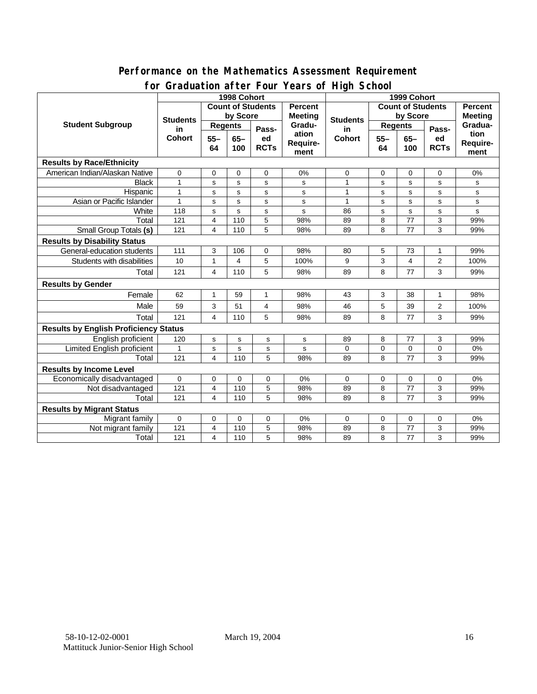#### **Performance on the Mathematics Assessment Requirement for Graduation after Four Years of High School**

|                                              | addation artor roar roars or ringir conco<br>1998 Cohort |                                            |     |                            |                           | 1999 Cohort              |             |              |                   |                |
|----------------------------------------------|----------------------------------------------------------|--------------------------------------------|-----|----------------------------|---------------------------|--------------------------|-------------|--------------|-------------------|----------------|
| <b>Student Subgroup</b>                      |                                                          | <b>Count of Students</b><br><b>Percent</b> |     |                            |                           | <b>Count of Students</b> |             |              |                   | Percent        |
|                                              | <b>Students</b><br>in<br><b>Cohort</b>                   | by Score                                   |     |                            | <b>Meeting</b><br>Gradu-  | <b>Students</b>          | by Score    |              |                   | <b>Meeting</b> |
|                                              |                                                          | <b>Regents</b>                             |     | <b>Regents</b>             |                           |                          |             | Gradua-      |                   |                |
|                                              |                                                          | $55 -$<br>$65-$<br>64<br>100               |     | Pass-<br>ed<br><b>RCTs</b> | ation<br>Require-<br>ment | in<br><b>Cohort</b>      | $55 -$      | Pass-        | tion              |                |
|                                              |                                                          |                                            |     |                            |                           |                          | 64          | $65-$<br>100 | ed<br><b>RCTs</b> | Require-       |
|                                              |                                                          |                                            |     |                            |                           |                          |             |              |                   | ment           |
| <b>Results by Race/Ethnicity</b>             |                                                          |                                            |     |                            |                           |                          |             |              |                   |                |
| American Indian/Alaskan Native               | $\mathbf 0$                                              | 0                                          | 0   | $\mathbf 0$                | 0%                        | 0                        | 0           | 0            | 0                 | 0%             |
| <b>Black</b>                                 | $\mathbf{1}$                                             | $\mathbf s$                                | s   | s                          | s                         | $\mathbf{1}$             | $\mathbf s$ | $\mathbf s$  | s                 | s              |
| Hispanic                                     | $\mathbf{1}$                                             | s                                          | s   | s                          | s                         | 1                        | $\mathbf s$ | s            | s                 | s              |
| Asian or Pacific Islander                    | $\mathbf{1}$                                             | $\mathbf s$                                | s   | s                          | s                         | $\mathbf{1}$             | s           | $\mathbf s$  | s                 | s              |
| White                                        | 118                                                      | s                                          | s   | s                          | s                         | 86                       | s           | s            | s                 | s              |
| Total                                        | 121                                                      | $\overline{4}$                             | 110 | 5                          | 98%                       | 89                       | 8           | 77           | 3                 | 99%            |
| <b>Small Group Totals (s)</b>                | 121                                                      | 4                                          | 110 | 5                          | 98%                       | 89                       | 8           | 77           | 3                 | 99%            |
| <b>Results by Disability Status</b>          |                                                          |                                            |     |                            |                           |                          |             |              |                   |                |
| General-education students                   | 111                                                      | 3                                          | 106 | 0                          | 98%                       | 80                       | 5           | 73           | 1                 | 99%            |
| Students with disabilities                   | 10                                                       | 1                                          | 4   | 5                          | 100%                      | 9                        | 3           | 4            | 2                 | 100%           |
| Total                                        | 121                                                      | $\overline{4}$                             | 110 | 5                          | 98%                       | 89                       | 8           | 77           | 3                 | 99%            |
| <b>Results by Gender</b>                     |                                                          |                                            |     |                            |                           |                          |             |              |                   |                |
| Female                                       | 62                                                       | 1                                          | 59  | $\mathbf{1}$               | 98%                       | 43                       | 3           | 38           | $\mathbf{1}$      | 98%            |
| Male                                         | 59                                                       | 3                                          | 51  | 4                          | 98%                       | 46                       | 5           | 39           | $\overline{2}$    | 100%           |
| Total                                        | 121                                                      | 4                                          | 110 | 5                          | 98%                       | 89                       | 8           | 77           | 3                 | 99%            |
| <b>Results by English Proficiency Status</b> |                                                          |                                            |     |                            |                           |                          |             |              |                   |                |
| English proficient                           | 120                                                      | s                                          | s   | $\mathbf s$                | s                         | 89                       | 8           | 77           | 3                 | 99%            |
| Limited English proficient                   | $\mathbf{1}$                                             | s                                          | s   | s                          | s                         | $\Omega$                 | 0           | 0            | 0                 | 0%             |
| Total                                        | 121                                                      | 4                                          | 110 | 5                          | 98%                       | 89                       | 8           | 77           | 3                 | 99%            |
| <b>Results by Income Level</b>               |                                                          |                                            |     |                            |                           |                          |             |              |                   |                |
| Economically disadvantaged                   | 0                                                        | $\mathbf 0$                                | 0   | 0                          | 0%                        | 0                        | 0           | $\mathbf 0$  | 0                 | 0%             |
| Not disadvantaged                            | 121                                                      | 4                                          | 110 | 5                          | 98%                       | 89                       | 8           | 77           | 3                 | 99%            |
| Total                                        | 121                                                      | 4                                          | 110 | 5                          | 98%                       | 89                       | 8           | 77           | 3                 | 99%            |
| <b>Results by Migrant Status</b>             |                                                          |                                            |     |                            |                           |                          |             |              |                   |                |
| Migrant family                               | 0                                                        | $\mathbf 0$                                | 0   | 0                          | 0%                        | 0                        | 0           | 0            | 0                 | 0%             |
| Not migrant family                           | 121                                                      | 4                                          | 110 | 5                          | 98%                       | 89                       | 8           | 77           | 3                 | 99%            |
| Total                                        | 121                                                      | 4                                          | 110 | 5                          | 98%                       | 89                       | 8           | 77           | 3                 | 99%            |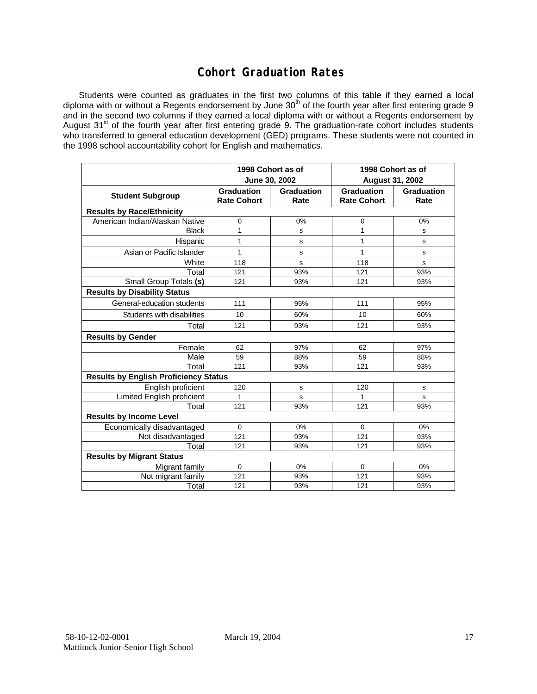### **Cohort Graduation Rates**

Students were counted as graduates in the first two columns of this table if they earned a local diploma with or without a Regents endorsement by June 30<sup>th</sup> of the fourth year after first entering grade 9 and in the second two columns if they earned a local diploma with or without a Regents endorsement by August 31<sup>st</sup> of the fourth year after first entering grade 9. The graduation-rate cohort includes students who transferred to general education development (GED) programs. These students were not counted in the 1998 school accountability cohort for English and mathematics.

|                                              | June 30, 2002                           | 1998 Cohort as of         | 1998 Cohort as of<br><b>August 31, 2002</b> |                           |  |  |  |  |  |
|----------------------------------------------|-----------------------------------------|---------------------------|---------------------------------------------|---------------------------|--|--|--|--|--|
| <b>Student Subgroup</b>                      | <b>Graduation</b><br><b>Rate Cohort</b> | <b>Graduation</b><br>Rate | Graduation<br><b>Rate Cohort</b>            | <b>Graduation</b><br>Rate |  |  |  |  |  |
| <b>Results by Race/Ethnicity</b>             |                                         |                           |                                             |                           |  |  |  |  |  |
| American Indian/Alaskan Native               | 0                                       | 0%                        | 0                                           | 0%                        |  |  |  |  |  |
| <b>Black</b>                                 | 1                                       | s                         | $\mathbf{1}$                                | S                         |  |  |  |  |  |
| Hispanic                                     | 1                                       | s                         | 1                                           | s                         |  |  |  |  |  |
| Asian or Pacific Islander                    | 1                                       | s                         | 1                                           | s                         |  |  |  |  |  |
| White                                        | 118                                     | s                         | 118                                         | s                         |  |  |  |  |  |
| Total                                        | 121                                     | 93%                       | 121                                         | 93%                       |  |  |  |  |  |
| Small Group Totals (s)                       | 121                                     | 93%                       | 121                                         | 93%                       |  |  |  |  |  |
| <b>Results by Disability Status</b>          |                                         |                           |                                             |                           |  |  |  |  |  |
| General-education students                   | 111                                     | 95%                       | 111                                         | 95%                       |  |  |  |  |  |
| Students with disabilities                   | 10                                      | 60%                       | 10                                          | 60%                       |  |  |  |  |  |
| Total                                        | 121                                     | 93%                       | 121                                         | 93%                       |  |  |  |  |  |
| <b>Results by Gender</b>                     |                                         |                           |                                             |                           |  |  |  |  |  |
| Female                                       | 62                                      | 97%                       | 62                                          | 97%                       |  |  |  |  |  |
| Male                                         | 59                                      | 88%                       | 59                                          | 88%                       |  |  |  |  |  |
| Total                                        | 121                                     | 93%                       | 121                                         | 93%                       |  |  |  |  |  |
| <b>Results by English Proficiency Status</b> |                                         |                           |                                             |                           |  |  |  |  |  |
| English proficient                           | 120                                     | s                         | 120                                         | s                         |  |  |  |  |  |
| Limited English proficient                   | 1                                       | s                         | 1                                           | s                         |  |  |  |  |  |
| Total                                        | 121                                     | 93%                       | 121                                         | 93%                       |  |  |  |  |  |
| <b>Results by Income Level</b>               |                                         |                           |                                             |                           |  |  |  |  |  |
| Economically disadvantaged                   | $\mathbf 0$                             | 0%                        | $\mathbf 0$                                 | 0%                        |  |  |  |  |  |
| Not disadvantaged                            | 121                                     | 93%                       | 121                                         | 93%                       |  |  |  |  |  |
| Total                                        | 121                                     | 93%                       | 121                                         | 93%                       |  |  |  |  |  |
| <b>Results by Migrant Status</b>             |                                         |                           |                                             |                           |  |  |  |  |  |
| Migrant family                               | 0                                       | 0%                        | 0                                           | 0%                        |  |  |  |  |  |
| Not migrant family                           | 121                                     | 93%                       | 121                                         | 93%                       |  |  |  |  |  |
| Total                                        | 121                                     | 93%                       | 121                                         | 93%                       |  |  |  |  |  |